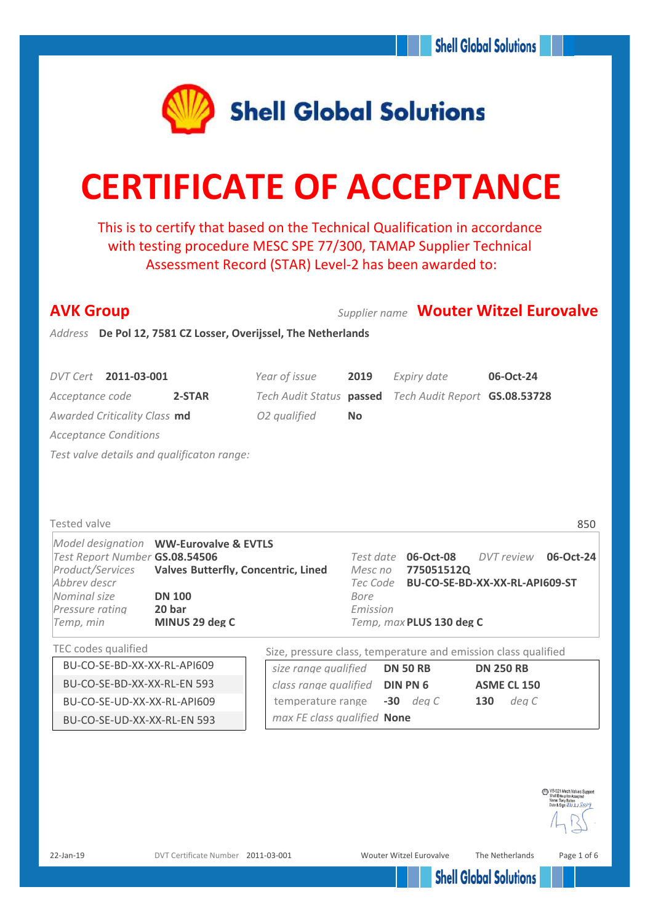

# **CERTIFICATE OF ACCEPTANCE**

This is to certify that based on the Technical Qualification in accordance with testing procedure MESC SPE 77/300, TAMAP Supplier Technical Assessment Record (STAR) Level-2 has been awarded to:

| <b>AVK Group</b>                                               |                                            |                                                                |           |                                          |                                         |                    | Supplier name Wouter Witzel Eurovalve |
|----------------------------------------------------------------|--------------------------------------------|----------------------------------------------------------------|-----------|------------------------------------------|-----------------------------------------|--------------------|---------------------------------------|
| Address De Pol 12, 7581 CZ Losser, Overijssel, The Netherlands |                                            |                                                                |           |                                          |                                         |                    |                                       |
|                                                                |                                            |                                                                |           |                                          |                                         |                    |                                       |
| DVT Cert 2011-03-001                                           |                                            | Year of issue                                                  | 2019      | Expiry date                              |                                         | 06-Oct-24          |                                       |
| Acceptance code                                                | 2-STAR                                     | Tech Audit Status passed                                       |           |                                          | Tech Audit Report GS.08.53728           |                    |                                       |
| Awarded Criticality Class md                                   |                                            | O2 qualified                                                   | <b>No</b> |                                          |                                         |                    |                                       |
| <b>Acceptance Conditions</b>                                   |                                            |                                                                |           |                                          |                                         |                    |                                       |
| Test valve details and qualificaton range:                     |                                            |                                                                |           |                                          |                                         |                    |                                       |
|                                                                |                                            |                                                                |           |                                          |                                         |                    |                                       |
|                                                                |                                            |                                                                |           |                                          |                                         |                    |                                       |
|                                                                |                                            |                                                                |           |                                          |                                         |                    |                                       |
| <b>Tested valve</b>                                            |                                            |                                                                |           |                                          |                                         |                    | 850                                   |
|                                                                | Model designation WW-Eurovalve & EVTLS     |                                                                |           |                                          |                                         |                    |                                       |
| Test Report Number GS.08.54506<br>Product/Services             | <b>Valves Butterfly, Concentric, Lined</b> |                                                                | Mesc no   | Test date <b>06-Oct-08</b><br>775051512Q |                                         | DVT review         | 06-Oct-24                             |
| Abbrey descr                                                   |                                            |                                                                |           |                                          | Tec Code BU-CO-SE-BD-XX-XX-RL-API609-ST |                    |                                       |
| Nominal size                                                   | <b>DN 100</b>                              |                                                                | Bore      |                                          |                                         |                    |                                       |
| Pressure rating                                                | 20 bar                                     |                                                                | Emission  |                                          |                                         |                    |                                       |
| Temp, min                                                      | MINUS 29 deg C                             |                                                                |           | Temp, max PLUS 130 deg C                 |                                         |                    |                                       |
| TEC codes qualified                                            |                                            | Size, pressure class, temperature and emission class qualified |           |                                          |                                         |                    |                                       |
| BU-CO-SE-BD-XX-XX-RL-API609                                    |                                            | size range qualified                                           |           | <b>DN 50 RB</b>                          |                                         | <b>DN 250 RB</b>   |                                       |
| BU-CO-SE-BD-XX-XX-RL-EN 593                                    |                                            | class range qualified <b>DIN PN 6</b>                          |           |                                          |                                         | <b>ASME CL 150</b> |                                       |
| BU-CO-SE-UD-XX-XX-RL-API609                                    |                                            | temperature range                                              |           | $-30$ deg C                              | 130                                     | deg C              |                                       |
| BU-CO-SE-UD-XX-XX-RL-EN 593                                    |                                            | max FE class qualified None                                    |           |                                          |                                         |                    |                                       |
|                                                                |                                            |                                                                |           |                                          |                                         |                    |                                       |

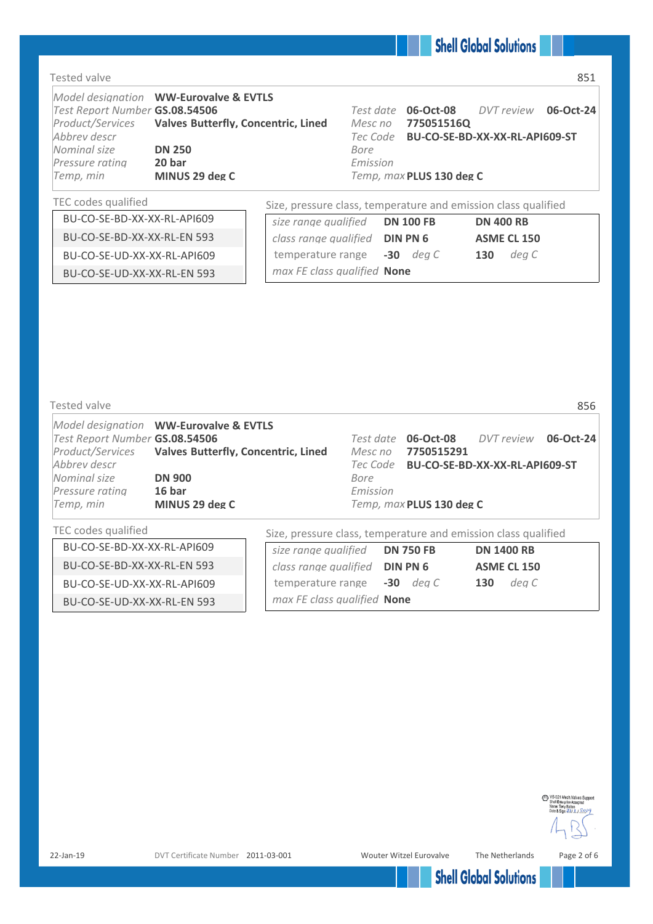### Tested valve 851

| Test Report Number GS.08.54506<br>Abbrey descr<br>Nominal size<br>Pressure rating | Model designation WW-Eurovalve & EVTLS<br>Product/Services Valves Butterfly, Concentric, Lined<br><b>DN 250</b><br>20 bar | Mesc no<br>Bore<br>Emission | Test date 06-Oct-08  DVT review 06-Oct-24<br>7750515160<br>Tec Code BU-CO-SE-BD-XX-XX-RL-API609-ST |  |
|-----------------------------------------------------------------------------------|---------------------------------------------------------------------------------------------------------------------------|-----------------------------|----------------------------------------------------------------------------------------------------|--|
| Temp, min                                                                         | MINUS 29 deg C                                                                                                            |                             | Temp, max PLUS 130 deg C                                                                           |  |

### TEC codes qualified Size, pressure class, temperature and emission class qualified

| BU-CO-SE-BD-XX-XX-RL-API609 | size range qualified<br><b>DN 100 FB</b> | <b>DN 400 RB</b>   |  |
|-----------------------------|------------------------------------------|--------------------|--|
| BU-CO-SE-BD-XX-XX-RL-EN 593 | class range qualified <b>DIN PN 6</b>    | <b>ASME CL 150</b> |  |
| BU-CO-SE-UD-XX-XX-RL-API609 | temperature range -30 deg C              | dea C<br>130       |  |
| BU-CO-SE-UD-XX-XX-RL-EN 593 | max FE class qualified <b>None</b>       |                    |  |
|                             |                                          |                    |  |

| Tested valve                   |                                                      |                                                                |                          |                                         | 856 |
|--------------------------------|------------------------------------------------------|----------------------------------------------------------------|--------------------------|-----------------------------------------|-----|
|                                | Model designation WW-Eurovalve & EVTLS               |                                                                |                          |                                         |     |
| Test Report Number GS.08.54506 |                                                      | Test date                                                      | 06-Oct-08                | DVT review 06-Oct-24                    |     |
|                                | Product/Services Valves Butterfly, Concentric, Lined | Mesc no                                                        | 7750515291               |                                         |     |
| Abbrey descr                   |                                                      |                                                                |                          | Tec Code BU-CO-SE-BD-XX-XX-RL-API609-ST |     |
| Nominal size                   | <b>DN 900</b>                                        | Bore                                                           |                          |                                         |     |
| Pressure ratina                | 16 bar                                               | Emission                                                       |                          |                                         |     |
| Temp, min                      | MINUS 29 deg C                                       |                                                                | Temp, max PLUS 130 deg C |                                         |     |
| TEC codes qualified            |                                                      | Size, pressure class, temperature and emission class qualified |                          |                                         |     |

|                             | SILE, MICOSUIC CIUSS, terriperuture unu chinosioni ciussi quumneu |                    |
|-----------------------------|-------------------------------------------------------------------|--------------------|
| BU-CO-SE-BD-XX-XX-RL-API609 | size range qualified<br><b>DN 750 FB</b>                          | <b>DN 1400 RB</b>  |
| BU-CO-SE-BD-XX-XX-RL-EN 593 | class range qualified <b>DIN PN 6</b>                             | <b>ASME CL 150</b> |
| BU-CO-SE-UD-XX-XX-RL-API609 | temperature range -30 deg C                                       | dea C<br>130       |
| BU-CO-SE-UD-XX-XX-RL-EN 593 | max FE class qualified None                                       |                    |

VS-021 Mech.Valves Support Name: Tony Bolton<br>Date & Sign: 21/11/2019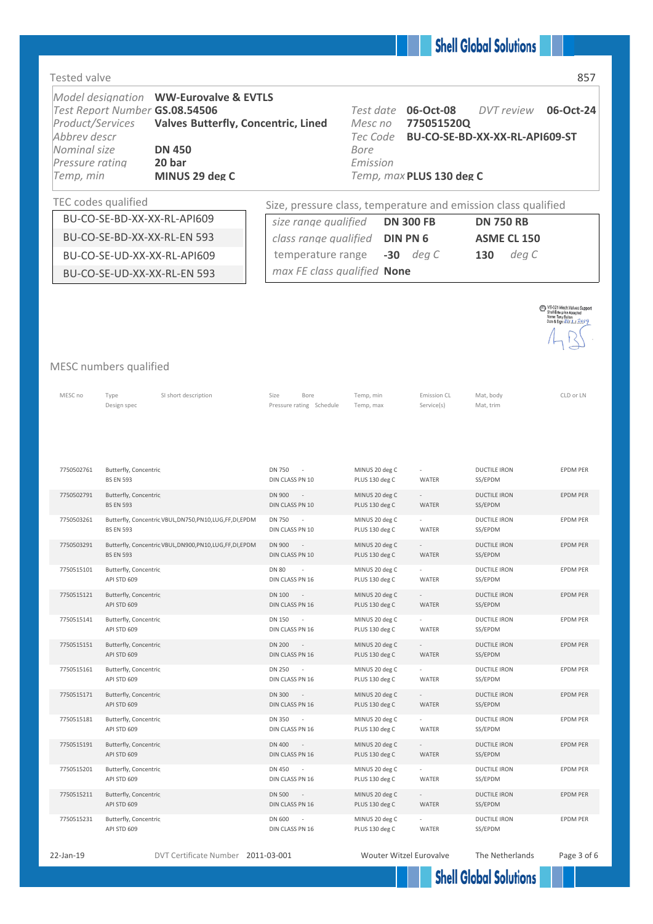| <b>Tested valve</b>                                                              |                                                                                                                       |                                                                                          |                                                      |                                                     |                                                     | 857                                             |
|----------------------------------------------------------------------------------|-----------------------------------------------------------------------------------------------------------------------|------------------------------------------------------------------------------------------|------------------------------------------------------|-----------------------------------------------------|-----------------------------------------------------|-------------------------------------------------|
| Product/Services<br>Abbrev descr<br>Nominal size<br>Pressure rating<br>Temp, min | Model designation WW-Eurovalve & EVTLS<br>Test Report Number GS.08.54506<br><b>DN 450</b><br>20 bar<br>MINUS 29 deg C | <b>Valves Butterfly, Concentric, Lined</b>                                               | Test date<br>Mesc no<br>Tec Code<br>Bore<br>Emission | 06-Oct-08<br>775051520Q<br>Temp, max PLUS 130 deg C | <b>DVT</b> review<br>BU-CO-SE-BD-XX-XX-RL-API609-ST | 06-Oct-24                                       |
|                                                                                  | TEC codes qualified                                                                                                   | Size, pressure class, temperature and emission class qualified                           |                                                      |                                                     |                                                     |                                                 |
|                                                                                  | BU-CO-SE-BD-XX-XX-RL-API609                                                                                           | size range qualified                                                                     |                                                      | <b>DN 300 FB</b>                                    | <b>DN 750 RB</b>                                    |                                                 |
|                                                                                  | BU-CO-SE-BD-XX-XX-RL-EN 593                                                                                           | class range qualified                                                                    |                                                      | <b>DIN PN 6</b>                                     | <b>ASME CL 150</b>                                  |                                                 |
|                                                                                  | BU-CO-SE-UD-XX-XX-RL-API609                                                                                           | temperature range                                                                        |                                                      | $-30$ deg C                                         | deg C<br>130                                        |                                                 |
|                                                                                  | BU-CO-SE-UD-XX-XX-RL-EN 593                                                                                           | max FE class qualified None                                                              |                                                      |                                                     |                                                     |                                                 |
|                                                                                  | MESC numbers qualified                                                                                                |                                                                                          |                                                      |                                                     |                                                     | VS-021 Mech.Valves Support<br>Name: Tony Bolton |
| MESC no                                                                          | SI short description<br>Type<br>Design spec                                                                           | Size<br>Bore<br>Pressure rating Schedule                                                 | Temp, min<br>Temp, max                               | Emission CL<br>Service(s)                           | Mat, body<br>Mat, trim                              | CLD or LN                                       |
| 7750502761                                                                       | Butterfly, Concentric<br><b>BS EN 593</b>                                                                             | <b>DN 750</b><br>DIN CLASS PN 10                                                         | MINUS 20 deg C<br>PLUS 130 deg C                     | WATER                                               | <b>DUCTILE IRON</b><br>SS/EPDM                      | EPDM PER                                        |
| 7750502791                                                                       | Butterfly, Concentric<br><b>BS EN 593</b>                                                                             | DN 900<br>$\sim$<br>DIN CLASS PN 10                                                      | MINUS 20 deg C<br>PLUS 130 deg C                     | $\sim$<br>WATER                                     | <b>DUCTILE IRON</b><br>SS/EPDM                      | <b>EPDM PER</b>                                 |
| 7750503261                                                                       | Butterfly, Concentric VBUL, DN750, PN10, LUG, FF, DI, EPDM<br><b>BS EN 593</b>                                        | <b>DN 750</b><br>DIN CLASS PN 10                                                         | MINUS 20 deg C<br>PLUS 130 deg C                     | WATER                                               | <b>DUCTILE IRON</b><br>SS/EPDM                      | <b>EPDM PER</b>                                 |
| 7750503291                                                                       | Butterfly, Concentric VBUL, DN900, PN10, LUG, FF, DI, EPDM<br><b>BS EN 593</b>                                        | DN 900<br>DIN CLASS PN 10                                                                | MINUS 20 deg C<br>PLUS 130 deg C                     | WATER                                               | <b>DUCTILE IRON</b><br>SS/EPDM                      | <b>EPDM PER</b>                                 |
| 7750515101                                                                       | Butterfly, Concentric<br>API STD 609                                                                                  | $\overline{\phantom{a}}$<br>DN 80<br>DIN CLASS PN 16                                     | MINUS 20 deg C<br>PLUS 130 deg C                     | $\overline{\phantom{a}}$<br>WATER                   | DUCTILE IRON<br>SS/EPDM                             | EPDM PER                                        |
| 7750515121                                                                       | Butterfly, Concentric<br>API STD 609                                                                                  | DN 100<br>$\sim$ 100 $\pm$<br>DIN CLASS PN 16                                            | MINUS 20 deg C<br>PLUS 130 deg C                     | $\sim$<br>WATER                                     | <b>DUCTILE IRON</b><br>SS/EPDM                      | EPDM PER                                        |
| 7750515141                                                                       | Butterfly, Concentric<br>API STD 609                                                                                  | DN 150<br>DIN CLASS PN 16                                                                | MINUS 20 deg C<br>PLUS 130 deg C                     | WATER                                               | <b>DUCTILE IRON</b><br>SS/EPDM                      | EPDM PER                                        |
| 7750515151                                                                       | Butterfly, Concentric<br>API STD 609                                                                                  | <b>DN 200</b><br>$\sim$ $-$<br>DIN CLASS PN 16                                           | MINUS 20 deg C<br>PLUS 130 deg C                     | $\sim$<br>WATER                                     | <b>DUCTILE IRON</b><br>SS/EPDM                      | EPDM PER                                        |
| 7750515161                                                                       | Butterfly, Concentric<br>API STD 609                                                                                  | DN 250<br>$\sim$<br>DIN CLASS PN 16                                                      | MINUS 20 deg C<br>PLUS 130 deg C                     | WATER                                               | <b>DUCTILE IRON</b><br>SS/EPDM                      | EPDM PER                                        |
| 7750515171                                                                       | Butterfly, Concentric<br>API STD 609                                                                                  | DN 300<br>$\sim$<br>DIN CLASS PN 16                                                      | MINUS 20 deg C<br>PLUS 130 deg C                     | $\sim$<br>WATER                                     | <b>DUCTILE IRON</b><br>SS/EPDM                      | EPDM PER                                        |
| 7750515181                                                                       | Butterfly, Concentric<br>API STD 609                                                                                  | DN 350<br>$\sim$<br>DIN CLASS PN 16                                                      | MINUS 20 deg C<br>PLUS 130 deg C                     | WATER                                               | <b>DUCTILE IRON</b><br>SS/EPDM                      | EPDM PER                                        |
| 7750515191                                                                       | Butterfly, Concentric<br>API STD 609                                                                                  | DN 400<br>$\mathcal{L}^{\mathcal{L}}$ and $\mathcal{L}^{\mathcal{L}}$<br>DIN CLASS PN 16 | MINUS 20 deg C<br>PLUS 130 deg C                     | $\sim$<br>WATER                                     | <b>DUCTILE IRON</b><br>SS/EPDM                      | EPDM PER                                        |
| 7750515201                                                                       | Butterfly, Concentric<br>API STD 609                                                                                  | DN 450<br>DIN CLASS PN 16                                                                | MINUS 20 deg C<br>PLUS 130 deg C                     | WATER                                               | <b>DUCTILE IRON</b><br>SS/EPDM                      | EPDM PER                                        |
| 7750515211                                                                       | Butterfly, Concentric<br>API STD 609                                                                                  | <b>DN 500</b><br>$\sim$ $\sim$<br>DIN CLASS PN 16                                        | MINUS 20 deg C<br>PLUS 130 deg C                     | $\sim$<br>WATER                                     | <b>DUCTILE IRON</b><br>SS/EPDM                      | EPDM PER                                        |
| 7750515231                                                                       | Butterfly, Concentric                                                                                                 | DN 600                                                                                   | MINUS 20 deg C                                       |                                                     | <b>DUCTILE IRON</b>                                 | EPDM PER                                        |

API STD 609

22-Jan-19 DVT Certificate Number 2011-03-001 Wouter Witzel Eurovalve The Netherlands Page 3 of 6

DIN CLASS PN 16

WATER

SS/EPDM

**Shell Global Solutions** 

PLUS 130 deg C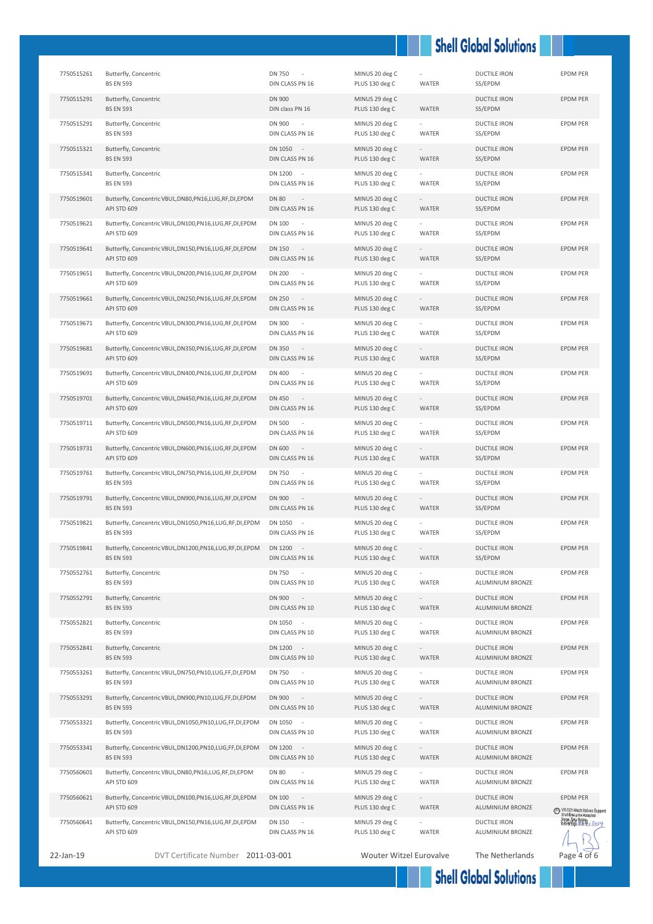## **Shell Global Solutions**

| 7750515261 | Butterfly, Concentric<br><b>BS EN 593</b>                                       | <b>DN 750</b><br>DIN CLASS PN 16                             | MINUS 20 deg C<br>PLUS 130 deg C | WATER                             | <b>DUCTILE IRON</b><br>SS/EPDM          | <b>EPDM PER</b>                                                     |
|------------|---------------------------------------------------------------------------------|--------------------------------------------------------------|----------------------------------|-----------------------------------|-----------------------------------------|---------------------------------------------------------------------|
| 7750515291 | Butterfly, Concentric<br><b>BS EN 593</b>                                       | DN 900<br>DIN class PN 16                                    | MINUS 29 deg C<br>PLUS 130 deg C | WATER                             | <b>DUCTILE IRON</b><br>SS/EPDM          | EPDM PER                                                            |
| 7750515291 | Butterfly, Concentric<br><b>BS EN 593</b>                                       | DN 900<br>$\overline{\phantom{a}}$<br>DIN CLASS PN 16        | MINUS 20 deg C<br>PLUS 130 deg C | WATER                             | <b>DUCTILE IRON</b><br>SS/EPDM          | <b>EPDM PER</b>                                                     |
| 7750515321 | Butterfly, Concentric<br><b>BS EN 593</b>                                       | DN 1050<br>$\sim$<br>DIN CLASS PN 16                         | MINUS 20 deg C<br>PLUS 130 deg C | WATER                             | <b>DUCTILE IRON</b><br>SS/EPDM          | <b>EPDM PER</b>                                                     |
| 7750515341 | Butterfly, Concentric<br><b>BS EN 593</b>                                       | DN 1200<br>$\sim$<br>DIN CLASS PN 16                         | MINUS 20 deg C<br>PLUS 130 deg C | <b>WATER</b>                      | <b>DUCTILE IRON</b><br>SS/EPDM          | <b>EPDM PER</b>                                                     |
| 7750519601 | Butterfly, Concentric VBUL, DN80, PN16, LUG, RF, DI, EPDM<br>API STD 609        | <b>DN 80</b><br>$\sim$<br>DIN CLASS PN 16                    | MINUS 20 deg C<br>PLUS 130 deg C | WATER                             | <b>DUCTILE IRON</b><br>SS/EPDM          | <b>EPDM PER</b>                                                     |
| 7750519621 | Butterfly, Concentric VBUL, DN100, PN16, LUG, RF, DI, EPDM<br>API STD 609       | <b>DN 100</b><br>DIN CLASS PN 16                             | MINUS 20 deg C<br>PLUS 130 deg C | WATER                             | <b>DUCTILE IRON</b><br>SS/EPDM          | <b>EPDM PER</b>                                                     |
| 7750519641 | Butterfly, Concentric VBUL, DN150, PN16, LUG, RF, DI, EPDM<br>API STD 609       | <b>DN 150</b><br>$\sim$<br>DIN CLASS PN 16                   | MINUS 20 deg C<br>PLUS 130 deg C | $\overline{\phantom{a}}$<br>WATER | <b>DUCTILE IRON</b><br>SS/EPDM          | <b>EPDM PER</b>                                                     |
| 7750519651 | Butterfly, Concentric VBUL, DN200, PN16, LUG, RF, DI, EPDM<br>API STD 609       | <b>DN 200</b><br>$\sim$<br>DIN CLASS PN 16                   | MINUS 20 deg C<br>PLUS 130 deg C | WATER                             | <b>DUCTILE IRON</b><br>SS/EPDM          | EPDM PER                                                            |
| 7750519661 | Butterfly, Concentric VBUL, DN250, PN16, LUG, RF, DI, EPDM<br>API STD 609       | DN 250<br>$\sim$<br>DIN CLASS PN 16                          | MINUS 20 deg C<br>PLUS 130 deg C | $\overline{\phantom{a}}$<br>WATER | <b>DUCTILE IRON</b><br>SS/EPDM          | <b>EPDM PER</b>                                                     |
| 7750519671 | Butterfly, Concentric VBUL, DN300, PN16, LUG, RF, DI, EPDM<br>API STD 609       | DN 300<br>DIN CLASS PN 16                                    | MINUS 20 deg C<br>PLUS 130 deg C | WATER                             | <b>DUCTILE IRON</b><br>SS/EPDM          | <b>EPDM PER</b>                                                     |
| 7750519681 | Butterfly, Concentric VBUL, DN350, PN16, LUG, RF, DI, EPDM<br>API STD 609       | <b>DN 350</b><br>$\sim$<br>DIN CLASS PN 16                   | MINUS 20 deg C<br>PLUS 130 deg C | $\overline{\phantom{a}}$<br>WATER | <b>DUCTILE IRON</b><br>SS/EPDM          | <b>EPDM PER</b>                                                     |
| 7750519691 | Butterfly, Concentric VBUL, DN400, PN16, LUG, RF, DI, EPDM<br>API STD 609       | <b>DN 400</b><br>$\sim$<br>DIN CLASS PN 16                   | MINUS 20 deg C<br>PLUS 130 deg C | WATER                             | <b>DUCTILE IRON</b><br>SS/EPDM          | EPDM PER                                                            |
| 7750519701 | Butterfly, Concentric VBUL, DN450, PN16, LUG, RF, DI, EPDM<br>API STD 609       | <b>DN 450</b><br>$\sim$<br>DIN CLASS PN 16                   | MINUS 20 deg C<br>PLUS 130 deg C | WATER                             | <b>DUCTILE IRON</b><br>SS/EPDM          | <b>EPDM PER</b>                                                     |
| 7750519711 | Butterfly, Concentric VBUL, DN500, PN16, LUG, RF, DI, EPDM<br>API STD 609       | <b>DN 500</b><br>DIN CLASS PN 16                             | MINUS 20 deg C<br>PLUS 130 deg C | WATER                             | <b>DUCTILE IRON</b><br>SS/EPDM          | EPDM PER                                                            |
| 7750519731 | Butterfly, Concentric VBUL, DN600, PN16, LUG, RF, DI, EPDM<br>API STD 609       | DN 600<br>$\sim$<br>DIN CLASS PN 16                          | MINUS 20 deg C<br>PLUS 130 deg C | WATER                             | <b>DUCTILE IRON</b><br>SS/EPDM          | <b>EPDM PER</b>                                                     |
| 7750519761 | Butterfly, Concentric VBUL, DN750, PN16, LUG, RF, DI, EPDM<br><b>BS EN 593</b>  | <b>DN 750</b><br>$\overline{\phantom{a}}$<br>DIN CLASS PN 16 | MINUS 20 deg C<br>PLUS 130 deg C | WATER                             | <b>DUCTILE IRON</b><br>SS/EPDM          | EPDM PER                                                            |
| 7750519791 | Butterfly, Concentric VBUL, DN900, PN16, LUG, RF, DI, EPDM<br><b>BS EN 593</b>  | <b>DN 900</b><br>DIN CLASS PN 16                             | MINUS 20 deg C<br>PLUS 130 deg C | <b>WATER</b>                      | <b>DUCTILE IRON</b><br>SS/EPDM          | <b>EPDM PER</b>                                                     |
| 7750519821 | Butterfly, Concentric VBUL, DN1050, PN16, LUG, RF, DI, EPDM<br><b>BS EN 593</b> | DN 1050<br>$\sim$<br>DIN CLASS PN 16                         | MINUS 20 deg C<br>PLUS 130 deg C | WATER                             | <b>DUCTILE IRON</b><br>SS/EPDM          | <b>EPDM PER</b>                                                     |
| 7750519841 | Butterfly, Concentric VBUL, DN1200, PN16, LUG, RF, DI, EPDM<br><b>BS EN 593</b> | DN 1200<br>DIN CLASS PN 16                                   | MINUS 20 deg C<br>PLUS 130 deg C | WATER                             | <b>DUCTILE IRON</b><br>SS/EPDM          | <b>EPDM PER</b>                                                     |
| 7750552761 | Butterfly, Concentric<br><b>BS EN 593</b>                                       | <b>DN 750</b><br>DIN CLASS PN 10                             | MINUS 20 deg C<br>PLUS 130 deg C | WATER                             | <b>DUCTILE IRON</b><br>ALUMINIUM BRONZE | EPDM PER                                                            |
| 7750552791 | Butterfly, Concentric<br><b>BS EN 593</b>                                       | DN 900<br>$\sim$<br>DIN CLASS PN 10                          | MINUS 20 deg C<br>PLUS 130 deg C | $\overline{\phantom{a}}$<br>WATER | <b>DUCTILE IRON</b><br>ALUMINIUM BRONZE | <b>EPDM PER</b>                                                     |
| 7750552821 | Butterfly, Concentric<br><b>BS EN 593</b>                                       | DN 1050 -<br>DIN CLASS PN 10                                 | MINUS 20 deg C<br>PLUS 130 deg C | WATER                             | DUCTILE IRON<br>ALUMINIUM BRONZE        | EPDM PER                                                            |
| 7750552841 | Butterfly, Concentric<br><b>BS EN 593</b>                                       | DN 1200<br>$\sim$<br>DIN CLASS PN 10                         | MINUS 20 deg C<br>PLUS 130 deg C | WATER                             | <b>DUCTILE IRON</b><br>ALUMINIUM BRONZE | <b>EPDM PER</b>                                                     |
| 7750553261 | Butterfly, Concentric VBUL, DN750, PN10, LUG, FF, DI, EPDM<br><b>BS EN 593</b>  | <b>DN 750</b><br>DIN CLASS PN 10                             | MINUS 20 deg C<br>PLUS 130 deg C | WATER                             | <b>DUCTILE IRON</b><br>ALUMINIUM BRONZE | <b>EPDM PER</b>                                                     |
| 7750553291 | Butterfly, Concentric VBUL, DN900, PN10, LUG, FF, DI, EPDM<br><b>BS EN 593</b>  | <b>DN 900</b><br>$\sim$<br>DIN CLASS PN 10                   | MINUS 20 deg C<br>PLUS 130 deg C | WATER                             | <b>DUCTILE IRON</b><br>ALUMINIUM BRONZE | <b>EPDM PER</b>                                                     |
| 7750553321 | Butterfly, Concentric VBUL, DN1050, PN10, LUG, FF, DI, EPDM<br><b>BS EN 593</b> | DN 1050 -<br>DIN CLASS PN 10                                 | MINUS 20 deg C<br>PLUS 130 deg C | WATER                             | <b>DUCTILE IRON</b><br>ALUMINIUM BRONZE | <b>EPDM PER</b>                                                     |
| 7750553341 | Butterfly, Concentric VBUL, DN1200, PN10, LUG, FF, DI, EPDM<br><b>BS EN 593</b> | DN 1200<br>$\sim$ $-$<br>DIN CLASS PN 10                     | MINUS 20 deg C<br>PLUS 130 deg C | WATER                             | <b>DUCTILE IRON</b><br>ALUMINIUM BRONZE | EPDM PER                                                            |
| 7750560601 | Butterfly, Concentric VBUL, DN80, PN16, LUG, RF, DI, EPDM<br>API STD 609        | <b>DN 80</b><br>DIN CLASS PN 16                              | MINUS 29 deg C<br>PLUS 130 deg C | WATER                             | <b>DUCTILE IRON</b><br>ALUMINIUM BRONZE | EPDM PER                                                            |
| 7750560621 | Butterfly, Concentric VBUL, DN100, PN16, LUG, RF, DI, EPDM<br>API STD 609       | DN 100<br>$\overline{\phantom{a}}$<br>DIN CLASS PN 16        | MINUS 29 deg C<br>PLUS 130 deg C | WATER                             | <b>DUCTILE IRON</b><br>ALUMINIUM BRONZE | EPDM PER<br>VS-021 Mech.Valves Support<br>Shell Enterprise Accepted |
| 7750560641 | Butterfly, Concentric VBUL, DN150, PN16, LUG, RF, DI, EPDM<br>API STD 609       | <b>DN 150</b><br>DIN CLASS PN 16                             | MINUS 29 deg C<br>PLUS 130 deg C | WATER                             | <b>DUCTILE IRON</b><br>ALUMINIUM BRONZE | Name: Tony Bolton<br>B.R.D.S.O. P.B.R., 2019                        |
| 22-Jan-19  | DVT Certificate Number 2011-03-001                                              |                                                              | <b>Wouter Witzel Eurovalve</b>   |                                   | The Netherlands                         | Page 4 of 6                                                         |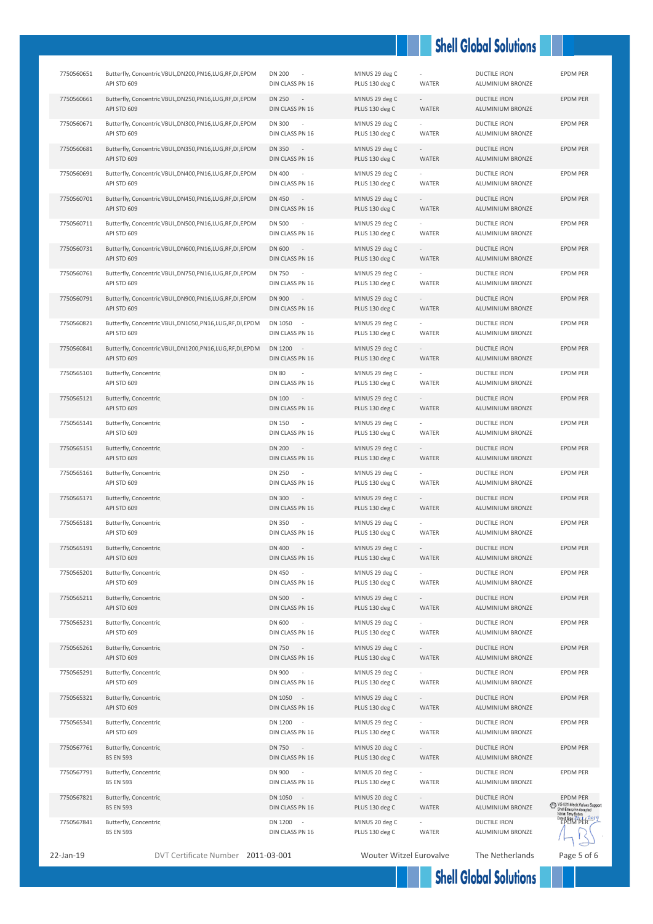# **Shell Global Solutions**

| 7750560651 | Butterfly, Concentric VBUL, DN200, PN16, LUG, RF, DI, EPDM<br>API STD 609  | <b>DN 200</b><br>DIN CLASS PN 16                             | MINUS 29 deg C<br>PLUS 130 deg C | WATER                             | <b>DUCTILE IRON</b><br>ALUMINIUM BRONZE        | EPDM PER                                                                                        |
|------------|----------------------------------------------------------------------------|--------------------------------------------------------------|----------------------------------|-----------------------------------|------------------------------------------------|-------------------------------------------------------------------------------------------------|
| 7750560661 | Butterfly, Concentric VBUL, DN250, PN16, LUG, RF, DI, EPDM<br>API STD 609  | <b>DN 250</b><br>$\sim$ $-$<br>DIN CLASS PN 16               | MINUS 29 deg C<br>PLUS 130 deg C | $\sim$<br>WATER                   | <b>DUCTILE IRON</b><br>ALUMINIUM BRONZE        | <b>EPDM PER</b>                                                                                 |
| 7750560671 | Butterfly, Concentric VBUL, DN300, PN16, LUG, RF, DI, EPDM<br>API STD 609  | <b>DN 300</b><br>$\sim$<br>DIN CLASS PN 16                   | MINUS 29 deg C<br>PLUS 130 deg C | WATER                             | <b>DUCTILE IRON</b><br>ALUMINIUM BRONZE        | <b>EPDM PER</b>                                                                                 |
| 7750560681 | Butterfly, Concentric VBUL, DN350, PN16, LUG, RF, DI, EPDM<br>API STD 609  | <b>DN 350</b><br>$\sim$ $-$<br>DIN CLASS PN 16               | MINUS 29 deg C<br>PLUS 130 deg C | WATER                             | <b>DUCTILE IRON</b><br>ALUMINIUM BRONZE        | <b>EPDM PER</b>                                                                                 |
| 7750560691 | Butterfly, Concentric VBUL, DN400, PN16, LUG, RF, DI, EPDM<br>API STD 609  | DN 400<br>$\overline{\phantom{a}}$<br>DIN CLASS PN 16        | MINUS 29 deg C<br>PLUS 130 deg C | WATER                             | <b>DUCTILE IRON</b><br>ALUMINIUM BRONZE        | <b>EPDM PER</b>                                                                                 |
| 7750560701 | Butterfly, Concentric VBUL, DN450, PN16, LUG, RF, DI, EPDM<br>API STD 609  | DN 450<br>$\sim$<br>DIN CLASS PN 16                          | MINUS 29 deg C<br>PLUS 130 deg C | $\overline{\phantom{a}}$<br>WATER | <b>DUCTILE IRON</b><br>ALUMINIUM BRONZE        | <b>EPDM PER</b>                                                                                 |
| 7750560711 | Butterfly, Concentric VBUL, DN500, PN16, LUG, RF, DI, EPDM<br>API STD 609  | <b>DN 500</b><br>$\sim$<br>DIN CLASS PN 16                   | MINUS 29 deg C<br>PLUS 130 deg C | WATER                             | <b>DUCTILE IRON</b><br>ALUMINIUM BRONZE        | EPDM PER                                                                                        |
| 7750560731 | Butterfly, Concentric VBUL, DN600, PN16, LUG, RF, DI, EPDM<br>API STD 609  | DN 600<br>$\sim$ $-$<br>DIN CLASS PN 16                      | MINUS 29 deg C<br>PLUS 130 deg C | WATER                             | <b>DUCTILE IRON</b><br>ALUMINIUM BRONZE        | <b>EPDM PER</b>                                                                                 |
| 7750560761 | Butterfly, Concentric VBUL, DN750, PN16, LUG, RF, DI, EPDM<br>API STD 609  | DN 750<br>$\overline{\phantom{a}}$<br>DIN CLASS PN 16        | MINUS 29 deg C<br>PLUS 130 deg C | WATER                             | <b>DUCTILE IRON</b><br>ALUMINIUM BRONZE        | EPDM PER                                                                                        |
| 7750560791 | Butterfly, Concentric VBUL, DN900, PN16, LUG, RF, DI, EPDM<br>API STD 609  | DN 900<br>$\sim$<br>DIN CLASS PN 16                          | MINUS 29 deg C<br>PLUS 130 deg C | $\sim$<br>WATER                   | <b>DUCTILE IRON</b><br>ALUMINIUM BRONZE        | <b>EPDM PER</b>                                                                                 |
| 7750560821 | Butterfly, Concentric VBUL, DN1050, PN16, LUG, RF, DI, EPDM<br>API STD 609 | DN 1050<br>$\overline{\phantom{a}}$<br>DIN CLASS PN 16       | MINUS 29 deg C<br>PLUS 130 deg C | WATER                             | <b>DUCTILE IRON</b><br><b>ALUMINIUM BRONZE</b> | <b>EPDM PER</b>                                                                                 |
| 7750560841 | Butterfly, Concentric VBUL, DN1200, PN16, LUG, RF, DI, EPDM<br>API STD 609 | DN 1200 -<br>DIN CLASS PN 16                                 | MINUS 29 deg C<br>PLUS 130 deg C | $\sim$<br>WATER                   | <b>DUCTILE IRON</b><br>ALUMINIUM BRONZE        | <b>EPDM PER</b>                                                                                 |
| 7750565101 | Butterfly, Concentric<br>API STD 609                                       | <b>DN 80</b><br>$\overline{\phantom{a}}$<br>DIN CLASS PN 16  | MINUS 29 deg C<br>PLUS 130 deg C | WATER                             | <b>DUCTILE IRON</b><br>ALUMINIUM BRONZE        | EPDM PER                                                                                        |
| 7750565121 | Butterfly, Concentric<br>API STD 609                                       | <b>DN 100</b><br>$\sim$ $-$<br>DIN CLASS PN 16               | MINUS 29 deg C<br>PLUS 130 deg C | $\sim$<br>WATER                   | <b>DUCTILE IRON</b><br>ALUMINIUM BRONZE        | <b>EPDM PER</b>                                                                                 |
| 7750565141 | Butterfly, Concentric<br>API STD 609                                       | DN 150<br>DIN CLASS PN 16                                    | MINUS 29 deg C<br>PLUS 130 deg C | WATER                             | <b>DUCTILE IRON</b><br>ALUMINIUM BRONZE        | <b>EPDM PER</b>                                                                                 |
| 7750565151 | Butterfly, Concentric<br>API STD 609                                       | <b>DN 200</b><br>$\sim$<br>DIN CLASS PN 16                   | MINUS 29 deg C<br>PLUS 130 deg C | <b>WATER</b>                      | <b>DUCTILE IRON</b><br>ALUMINIUM BRONZE        | <b>EPDM PER</b>                                                                                 |
| 7750565161 | Butterfly, Concentric<br>API STD 609                                       | <b>DN 250</b><br>$\sim$<br>DIN CLASS PN 16                   | MINUS 29 deg C<br>PLUS 130 deg C | WATER                             | <b>DUCTILE IRON</b><br>ALUMINIUM BRONZE        | <b>EPDM PER</b>                                                                                 |
| 7750565171 | Butterfly, Concentric<br>API STD 609                                       | <b>DN 300</b><br>$\sim$ $-$<br>DIN CLASS PN 16               | MINUS 29 deg C<br>PLUS 130 deg C | WATER                             | <b>DUCTILE IRON</b><br><b>ALUMINIUM BRONZE</b> | <b>EPDM PER</b>                                                                                 |
| 7750565181 | Butterfly, Concentric<br>API STD 609                                       | <b>DN 350</b><br>DIN CLASS PN 16                             | MINUS 29 deg C<br>PLUS 130 deg C | WATER                             | <b>DUCTILE IRON</b><br>ALUMINIUM BRONZE        | <b>EPDM PER</b>                                                                                 |
| 7750565191 | Butterfly, Concentric<br>API STD 609                                       | <b>DN 400</b><br>$\sim$<br>DIN CLASS PN 16                   | MINUS 29 deg C<br>PLUS 130 deg C | $\overline{\phantom{a}}$<br>WATER | <b>DUCTILE IRON</b><br>ALUMINIUM BRONZE        | <b>EPDM PER</b>                                                                                 |
| 7750565201 | Butterfly, Concentric<br>API STD 609                                       | DN 450<br>DIN CLASS PN 16                                    | MINUS 29 deg C<br>PLUS 130 deg C | WATER                             | <b>DUCTILE IRON</b><br>ALUMINIUM BRONZE        | EPDM PER                                                                                        |
| 7750565211 | Butterfly, Concentric<br>API STD 609                                       | <b>DN 500</b><br>$\overline{\phantom{a}}$<br>DIN CLASS PN 16 | MINUS 29 deg C<br>PLUS 130 deg C | WATER                             | <b>DUCTILE IRON</b><br>ALUMINIUM BRONZE        | EPDM PER                                                                                        |
| 7750565231 | Butterfly, Concentric<br>API STD 609                                       | DN 600<br>DIN CLASS PN 16                                    | MINUS 29 deg C<br>PLUS 130 deg C | WATER                             | <b>DUCTILE IRON</b><br>ALUMINIUM BRONZE        | <b>EPDM PER</b>                                                                                 |
| 7750565261 | Butterfly, Concentric<br>API STD 609                                       | <b>DN 750</b><br>$\sim$<br>DIN CLASS PN 16                   | MINUS 29 deg C<br>PLUS 130 deg C | $\sim$<br>WATER                   | <b>DUCTILE IRON</b><br>ALUMINIUM BRONZE        | <b>EPDM PER</b>                                                                                 |
| 7750565291 | Butterfly, Concentric<br>API STD 609                                       | DN 900<br>DIN CLASS PN 16                                    | MINUS 29 deg C<br>PLUS 130 deg C | WATER                             | <b>DUCTILE IRON</b><br>ALUMINIUM BRONZE        | <b>EPDM PER</b>                                                                                 |
| 7750565321 | Butterfly, Concentric<br>API STD 609                                       | DN 1050 -<br>DIN CLASS PN 16                                 | MINUS 29 deg C<br>PLUS 130 deg C | $\overline{\phantom{a}}$<br>WATER | <b>DUCTILE IRON</b><br>ALUMINIUM BRONZE        | <b>EPDM PER</b>                                                                                 |
| 7750565341 | Butterfly, Concentric<br>API STD 609                                       | DN 1200 -<br>DIN CLASS PN 16                                 | MINUS 29 deg C<br>PLUS 130 deg C | WATER                             | <b>DUCTILE IRON</b><br>ALUMINIUM BRONZE        | EPDM PER                                                                                        |
| 7750567761 | Butterfly, Concentric<br><b>BS EN 593</b>                                  | DN 750<br>$\sim$ $-$<br>DIN CLASS PN 16                      | MINUS 20 deg C<br>PLUS 130 deg C | $\sim$<br>WATER                   | <b>DUCTILE IRON</b><br>ALUMINIUM BRONZE        | EPDM PER                                                                                        |
| 7750567791 | Butterfly, Concentric<br><b>BS EN 593</b>                                  | DN 900<br>DIN CLASS PN 16                                    | MINUS 20 deg C<br>PLUS 130 deg C | WATER                             | <b>DUCTILE IRON</b><br>ALUMINIUM BRONZE        | <b>EPDM PER</b>                                                                                 |
| 7750567821 | Butterfly, Concentric<br><b>BS EN 593</b>                                  | DN 1050<br>$\sim$<br>DIN CLASS PN 16                         | MINUS 20 deg C<br>PLUS 130 deg C | WATER                             | <b>DUCTILE IRON</b><br>ALUMINIUM BRONZE        | <b>EPDM PER</b><br>VS-021 Mech.Valves Support<br>Shell Enterprise Accepted<br>Vame: Tony Bolton |
| 7750567841 | Butterfly, Concentric<br><b>BS EN 593</b>                                  | DN 1200<br>$\sim$<br>DIN CLASS PN 16                         | MINUS 20 deg C<br>PLUS 130 deg C | WATER                             | <b>DUCTILE IRON</b><br>ALUMINIUM BRONZE        | Date & Sign: 21/1/2019                                                                          |
| 22-Jan-19  | DVT Certificate Number 2011-03-001                                         |                                                              | Wouter Witzel Eurovalve          |                                   | The Netherlands                                | Page 5 of 6                                                                                     |